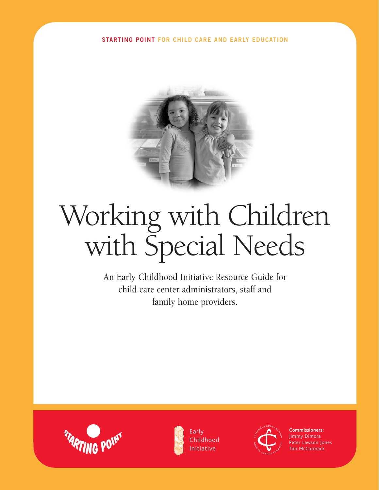**STARTING POINT FOR CHILD CARE AND EARLY EDUCATION**



# Working with Children with Special Needs

An Early Childhood Initiative Resource Guide for child care center administrators, staff and family home providers.





Early Childhood Initiative



Commissioners: Jimmy Dimora Peter Lawson Jones **Tim McCormack**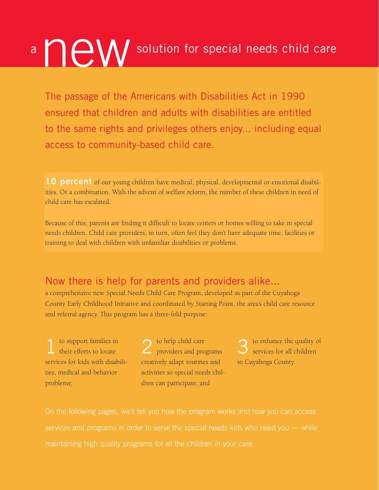# a news of the W solution for special needs child care

The passage of the Americans with Disabilities Act in 1990 ensured that children and adults with disabilities are entitled to the same rights and privileges others enjoy... including equal access to community-based child care.

**10 percent** of our young children have medical, physical, developmental or emotional disabilities. Or a combination. With the advent of welfare reform, the number of these children in need of child care has escalated.

Because of this, parents are finding it difficult to locate centers or homes willing to take in special needs children. Child care providers, in turn, often feel they don't have adequate time, facilities or training to deal with children with unfamiliar disabilities or problems.

#### Now there is help for parents and providers alike...

a comprehensive new Special Needs Child Care Program, developed as part of the Cuyahoga County Early Childhood Initiative and coordinated by Starting Point, the area's child care resource and referral agency. This program has a three-fold purpose:

to support families in their efforts to locate services for kids with disabilities, medical and behavior problems;

2 to help child care providers and programs creatively adapt routines and activities so special needs children can participate; and

3 to enhance the quality of services for all children in Cuyahoga County.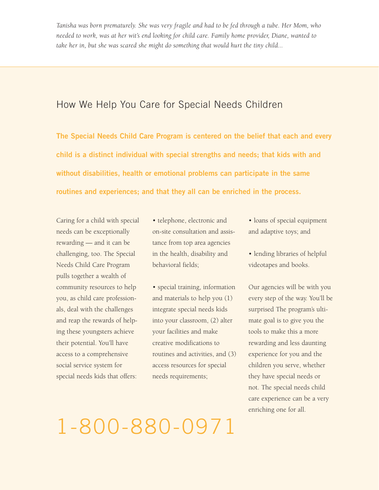*Tanisha was born prematurely. She was very fragile and had to be fed through a tube. Her Mom, who needed to work, was at her wit's end looking for child care. Family home provider, Diane, wanted to take her in, but she was scared she might do something that would hurt the tiny child...*

#### How We Help You Care for Special Needs Children

**The Special Needs Child Care Program is centered on the belief that each and every child is a distinct individual with special strengths and needs; that kids with and without disabilities, health or emotional problems can participate in the same routines and experiences; and that they all can be enriched in the process.**

Caring for a child with special needs can be exceptionally rewarding — and it can be challenging, too. The Special Needs Child Care Program pulls together a wealth of community resources to help you, as child care professionals, deal with the challenges and reap the rewards of helping these youngsters achieve their potential. You'll have access to a comprehensive social service system for special needs kids that offers:

• telephone, electronic and on-site consultation and assistance from top area agencies in the health, disability and behavioral fields;

• special training, information and materials to help you (1) integrate special needs kids into your classroom, (2) alter your facilities and make creative modifications to routines and activities, and (3) access resources for special needs requirements;

- loans of special equipment and adaptive toys; and
- lending libraries of helpful videotapes and books.

Our agencies will be with you every step of the way. You'll be surprised The program's ultimate goal is to give you the tools to make this a more rewarding and less daunting experience for you and the children you serve, whether they have special needs or not. The special needs child care experience can be a very enriching one for all.

## 1-800-880-0971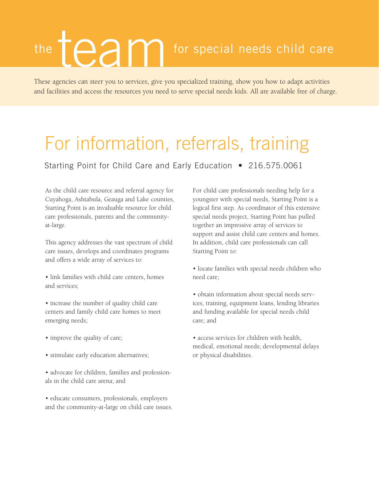# team the  $\Box$   $\Box$   $\Box$  or special needs child care

These agencies can steer you to services, give you specialized training, show you how to adapt activities and facilities and access the resources you need to serve special needs kids. All are available free of charge.

### For information, referrals, training

Starting Point for Child Care and Early Education • 216.575.0061

As the child care resource and referral agency for Cuyahoga, Ashtabula, Geauga and Lake counties, Starting Point is an invaluable resource for child care professionals, parents and the communityat-large.

This agency addresses the vast spectrum of child care issues, develops and coordinates programs and offers a wide array of services to:

• link families with child care centers, homes and services;

• increase the number of quality child care centers and family child care homes to meet emerging needs;

- improve the quality of care;
- stimulate early education alternatives;
- advocate for children, families and professionals in the child care arena; and
- educate consumers, professionals, employers and the community-at-large on child care issues.

For child care professionals needing help for a youngster with special needs, Starting Point is a logical first step. As coordinator of this extensive special needs project, Starting Point has pulled together an impressive array of services to support and assist child care centers and homes. In addition, child care professionals can call Starting Point to:

- locate families with special needs children who need care;
- obtain information about special needs services, training, equipment loans, lending libraries and funding available for special needs child care; and
- access services for children with health, medical, emotional needs; developmental delays or physical disabilities.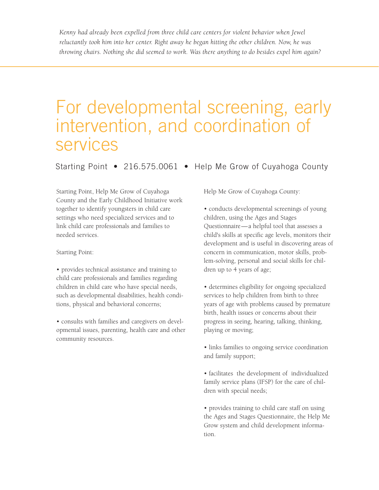Kenny had already been expelled from three child care centers for violent behavior when Jewel *reluctantly took him into her center. Right away he began hitting the other children. Now, he was throwing chairs. Nothing she did seemed to work. Was there anything to do besides expel him again?*

### For developmental screening, early intervention, and coordination of services

Starting Point • 216.575.0061 • Help Me Grow of Cuyahoga County

Starting Point, Help Me Grow of Cuyahoga County and the Early Childhood Initiative work together to identify youngsters in child care settings who need specialized services and to link child care professionals and families to needed services.

Starting Point:

• provides technical assistance and training to child care professionals and families regarding children in child care who have special needs, such as developmental disabilities, health conditions, physical and behavioral concerns;

• consults with families and caregivers on developmental issues, parenting, health care and other community resources.

Help Me Grow of Cuyahoga County:

• conducts developmental screenings of young children, using the Ages and Stages Questionnaire—a helpful tool that assesses a child's skills at specific age levels, monitors their development and is useful in discovering areas of concern in communication, motor skills, problem-solving, personal and social skills for children up to 4 years of age;

• determines eligibility for ongoing specialized services to help children from birth to three years of age with problems caused by premature birth, health issues or concerns about their progress in seeing, hearing, talking, thinking, playing or moving;

• links families to ongoing service coordination and family support;

• facilitates the development of individualized family service plans (IFSP) for the care of children with special needs;

• provides training to child care staff on using the Ages and Stages Questionnaire, the Help Me Grow system and child development information.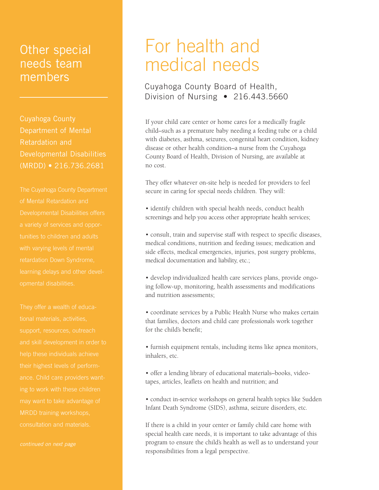#### Other special needs team members

Retardation and Developmental Disabilities (MRDD) • 216.736.2681

tunities to children and adults

### For health and medical needs

#### Cuyahoga County Board of Health, Division of Nursing • 216.443.5660

If your child care center or home cares for a medically fragile child–such as a premature baby needing a feeding tube or a child with diabetes, asthma, seizures, congenital heart condition, kidney disease or other health condition–a nurse from the Cuyahoga County Board of Health, Division of Nursing, are available at no cost.

They offer whatever on-site help is needed for providers to feel secure in caring for special needs children. They will:

• identify children with special health needs, conduct health screenings and help you access other appropriate health services;

• consult, train and supervise staff with respect to specific diseases, medical conditions, nutrition and feeding issues; medication and side effects, medical emergencies, injuries, post surgery problems, medical documentation and liability, etc.;

• develop individualized health care services plans, provide ongoing follow-up, monitoring, health assessments and modifications and nutrition assessments;

• coordinate services by a Public Health Nurse who makes certain that families, doctors and child care professionals work together for the child's benefit;

• furnish equipment rentals, including items like apnea monitors, inhalers, etc.

• offer a lending library of educational materials–books, videotapes, articles, leaflets on health and nutrition; and

• conduct in-service workshops on general health topics like Sudden Infant Death Syndrome (SIDS), asthma, seizure disorders, etc*.*

If there is a child in your center or family child care home with special health care needs, it is important to take advantage of this program to ensure the child's health as well as to understand your responsibilities from a legal perspective.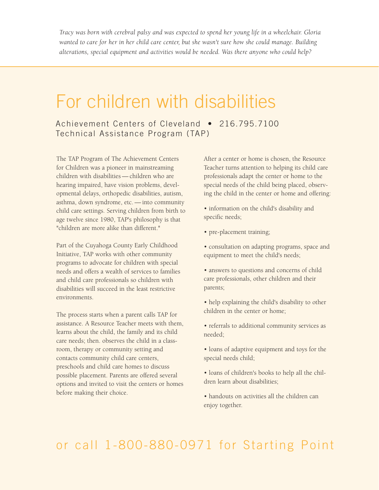*Tracy was born with cerebral palsy and was expected to spend her young life in a wheelchair. Gloria wanted to care for her in her child care center, but she wasn't sure how she could manage. Building alterations, special equipment and activities would be needed. Was there anyone who could help?*

### For children with disabilities

#### Achievement Centers of Cleveland • 216.795.7100 Technical Assistance Program (TAP)

The TAP Program of The Achievement Centers for Children was a pioneer in mainstreaming children with disabilities — children who are hearing impaired, have vision problems, developmental delays, orthopedic disabilities, autism, asthma, down syndrome, etc. — into community child care settings. Serving children from birth to age twelve since 1980, TAP's philosophy is that "children are more alike than different."

Part of the Cuyahoga County Early Childhood Initiative, TAP works with other community programs to advocate for children with special needs and offers a wealth of services to families and child care professionals so children with disabilities will succeed in the least restrictive environments.

The process starts when a parent calls TAP for assistance. A Resource Teacher meets with them, learns about the child, the family and its child care needs; then. observes the child in a classroom, therapy or community setting and contacts community child care centers, preschools and child care homes to discuss possible placement. Parents are offered several options and invited to visit the centers or homes before making their choice.

After a center or home is chosen, the Resource Teacher turns attention to helping its child care professionals adapt the center or home to the special needs of the child being placed, observing the child in the center or home and offering:

• information on the child's disability and specific needs;

- pre-placement training;
- consultation on adapting programs, space and equipment to meet the child's needs;
- answers to questions and concerns of child care professionals, other children and their parents;
- help explaining the child's disability to other children in the center or home;
- referrals to additional community services as needed;
- loans of adaptive equipment and toys for the special needs child;
- loans of children's books to help all the children learn about disabilities;
- handouts on activities all the children can enjoy together.

#### or call 1-800-880-0971 for Starting Point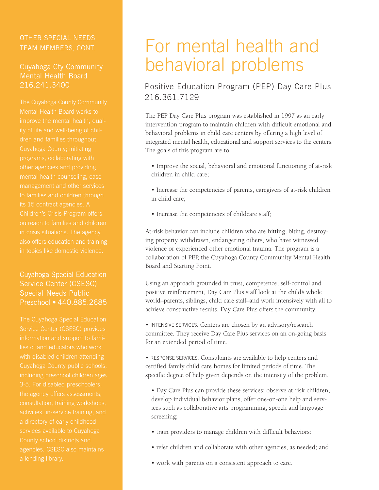#### OTHER SPECIAL NEEDS TEAM MEMBERS, CONT.

#### Cuyahoga Cty Community Mental Health Board 216.241.3400

#### Cuyahoga Special Education Service Center (CSESC) Special Needs Public Preschool • 440.885.2685

### For mental health and behavioral problems

#### Positive Education Program (PEP) Day Care Plus 216.361.7129

The PEP Day Care Plus program was established in 1997 as an early intervention program to maintain children with difficult emotional and behavioral problems in child care centers by offering a high level of integrated mental health, educational and support services to the centers. The goals of this program are to

- Improve the social, behavioral and emotional functioning of at-risk children in child care;
- Increase the competencies of parents, caregivers of at-risk children in child care;
- Increase the competencies of childcare staff;

At-risk behavior can include children who are hitting, biting, destroying property, withdrawn, endangering others, who have witnessed violence or experienced other emotional trauma. The program is a collaboration of PEP, the Cuyahoga County Community Mental Health Board and Starting Point.

Using an approach grounded in trust, competence, self-control and positive reinforcement, Day Care Plus staff look at the child's whole world–parents, siblings, child care staff–and work intensively with all to achieve constructive results. Day Care Plus offers the community:

• INTENSIVE SERVICES. Centers are chosen by an advisory/research committee. They receive Day Care Plus services on an on-going basis for an extended period of time.

• RESPONSE SERVICES. Consultants are available to help centers and certified family child care homes for limited periods of time. The specific degree of help given depends on the intensity of the problem.

• Day Care Plus can provide these services: observe at-risk children, develop individual behavior plans, offer one-on-one help and services such as collaborative arts programming, speech and language screening;

- train providers to manage children with difficult behaviors:
- refer children and collaborate with other agencies, as needed; and
- work with parents on a consistent approach to care.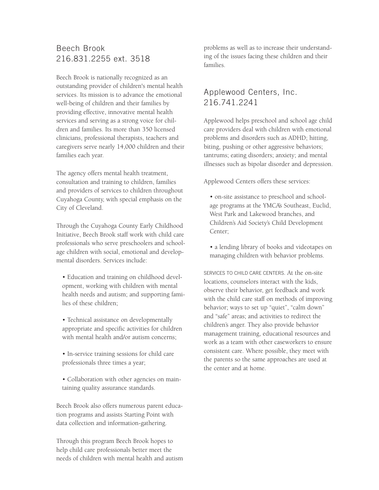#### Beech Brook 216.831.2255 ext. 3518

Beech Brook is nationally recognized as an outstanding provider of children's mental health services. Its mission is to advance the emotional well-being of children and their families by providing effective, innovative mental health services and serving as a strong voice for children and families. Its more than 350 licensed clinicians, professional therapists, teachers and caregivers serve nearly 14,000 children and their families each year.

The agency offers mental health treatment, consultation and training to children, families and providers of services to children throughout Cuyahoga County, with special emphasis on the City of Cleveland.

Through the Cuyahoga County Early Childhood Initiative, Beech Brook staff work with child care professionals who serve preschoolers and schoolage children with social, emotional and developmental disorders. Services include:

- Education and training on childhood development, working with children with mental health needs and autism; and supporting families of these children;
- Technical assistance on developmentally appropriate and specific activities for children with mental health and/or autism concerns;
- In-service training sessions for child care professionals three times a year;
- Collaboration with other agencies on maintaining quality assurance standards.

Beech Brook also offers numerous parent education programs and assists Starting Point with data collection and information-gathering.

Through this program Beech Brook hopes to help child care professionals better meet the needs of children with mental health and autism problems as well as to increase their understanding of the issues facing these children and their families.

#### Applewood Centers, Inc. 216.741.2241

Applewood helps preschool and school age child care providers deal with children with emotional problems and disorders such as ADHD; hitting, biting, pushing or other aggressive behaviors; tantrums; eating disorders; anxiety; and mental illnesses such as bipolar disorder and depression.

Applewood Centers offers these services:

- on-site assistance to preschool and schoolage programs at the YMCA's Southeast, Euclid, West Park and Lakewood branches, and Children's Aid Society's Child Development Center;
- a lending library of books and videotapes on managing children with behavior problems.

SERVICES TO CHILD CARE CENTERS. At the on-site locations, counselors interact with the kids, observe their behavior, get feedback and work with the child care staff on methods of improving behavior; ways to set up "quiet", "calm down" and "safe" areas; and activities to redirect the children's anger. They also provide behavior management training, educational resources and work as a team with other caseworkers to ensure consistent care. Where possible, they meet with the parents so the same approaches are used at the center and at home.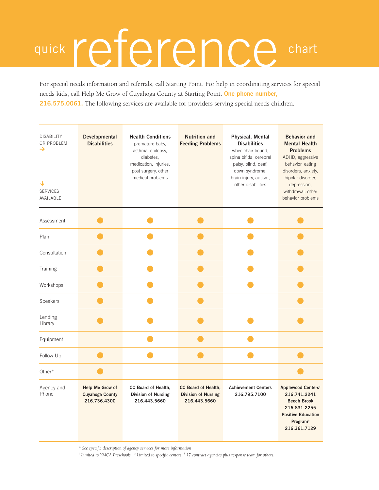# quick reference chart

For special needs information and referrals, call Starting Point. For help in coordinating services for special needs kids, call Help Me Grow of Cuyahoga County at Starting Point. **One phone number, 216.575.0061.** The following services are available for providers serving special needs children.

| <b>DISABILITY</b><br>OR PROBLEM<br>→<br>↓<br><b>SERVICES</b><br>AVAILABLE | <b>Developmental</b><br><b>Disabilities</b>               | <b>Health Conditions</b><br>premature baby,<br>asthma, epilepsy,<br>diabetes.<br>medication, injuries,<br>post surgery, other<br>medical problems | <b>Nutrition and</b><br><b>Feeding Problems</b>                   | Physical, Mental<br><b>Disabilities</b><br>wheelchair-bound,<br>spina bifida, cerebral<br>palsy, blind, deaf,<br>down syndrome,<br>brain injury, autism,<br>other disabilities | <b>Behavior and</b><br><b>Mental Health</b><br><b>Problems</b><br>ADHD, aggressive<br>behavior, eating<br>disorders, anxiety,<br>bipolar disorder,<br>depression,<br>withdrawal, other<br>behavior problems |
|---------------------------------------------------------------------------|-----------------------------------------------------------|---------------------------------------------------------------------------------------------------------------------------------------------------|-------------------------------------------------------------------|--------------------------------------------------------------------------------------------------------------------------------------------------------------------------------|-------------------------------------------------------------------------------------------------------------------------------------------------------------------------------------------------------------|
| Assessment                                                                |                                                           |                                                                                                                                                   |                                                                   |                                                                                                                                                                                |                                                                                                                                                                                                             |
| Plan                                                                      |                                                           |                                                                                                                                                   |                                                                   |                                                                                                                                                                                |                                                                                                                                                                                                             |
| Consultation                                                              |                                                           |                                                                                                                                                   |                                                                   |                                                                                                                                                                                |                                                                                                                                                                                                             |
| Training                                                                  |                                                           |                                                                                                                                                   |                                                                   |                                                                                                                                                                                |                                                                                                                                                                                                             |
| Workshops                                                                 |                                                           |                                                                                                                                                   |                                                                   |                                                                                                                                                                                |                                                                                                                                                                                                             |
| Speakers                                                                  |                                                           |                                                                                                                                                   |                                                                   |                                                                                                                                                                                |                                                                                                                                                                                                             |
| Lending<br>Library                                                        |                                                           |                                                                                                                                                   |                                                                   |                                                                                                                                                                                |                                                                                                                                                                                                             |
| Equipment                                                                 |                                                           |                                                                                                                                                   |                                                                   |                                                                                                                                                                                |                                                                                                                                                                                                             |
| Follow Up                                                                 |                                                           |                                                                                                                                                   |                                                                   |                                                                                                                                                                                |                                                                                                                                                                                                             |
| Other*                                                                    |                                                           |                                                                                                                                                   |                                                                   |                                                                                                                                                                                |                                                                                                                                                                                                             |
| Agency and<br>Phone                                                       | Help Me Grow of<br><b>Cuyahoga County</b><br>216.736.4300 | CC Board of Health,<br><b>Division of Nursing</b><br>216.443.5660                                                                                 | CC Board of Health,<br><b>Division of Nursing</b><br>216.443.5660 | <b>Achievement Centers</b><br>216.795.7100                                                                                                                                     | Applewood Centers <sup>1</sup><br>216.741.2241<br><b>Beech Brook</b><br>216.831.2255<br><b>Positive Education</b><br>Program <sup>3</sup><br>216.361.7129                                                   |

*\* See specific description of agency services for more information*

<sup>1</sup> *Limited to YMCA Preschools* <sup>2</sup> *Limited to specific centers* <sup>3</sup> *17 contract agencies plus response team for others.*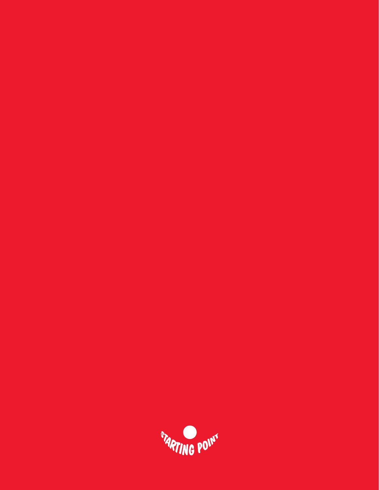